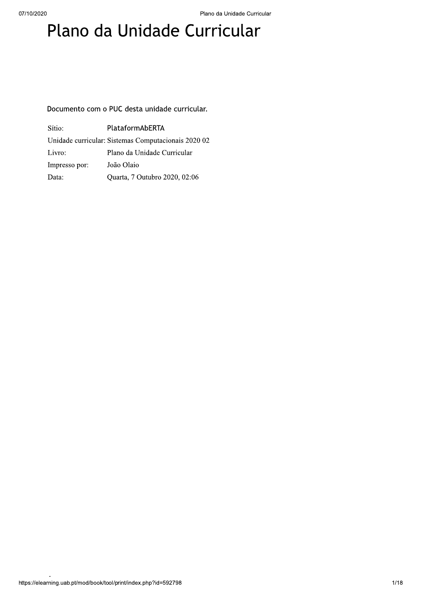# Plano da Unidade Curricular

Documento com o PUC desta unidade curricular.

| Sítio:        | PlataformAbERTA                                     |
|---------------|-----------------------------------------------------|
|               | Unidade curricular: Sistemas Computacionais 2020 02 |
| Livro:        | Plano da Unidade Curricular                         |
| Impresso por: | João Olaio                                          |
| Data:         | Quarta, 7 Outubro 2020, 02:06                       |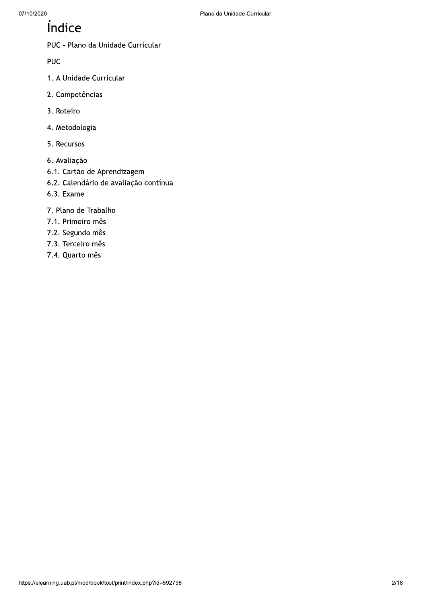### Índice

PUC - Plano da Unidade Curricular

**PUC** 

- 1. A Unidade Curricular
- 2. Competências
- 3. Roteiro
- 4. Metodologia
- 5. Recursos
- 6. Avaliação
- 6.1. Cartão de Aprendizagem
- 6.2. Calendário de avaliação contínua
- 6.3. Exame
- 7. Plano de Trabalho
- 7.1. Primeiro mês
- 7.2. Segundo mês
- 7.3. Terceiro mês
- 7.4. Quarto mês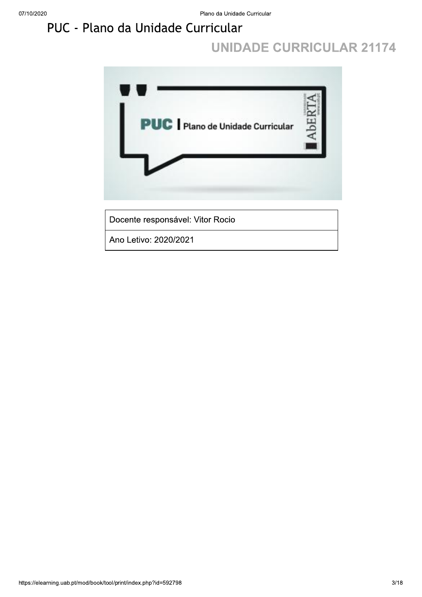## PUC - Plano da Unidade Curricular

### **UNIDADE CURRICULAR 21174**

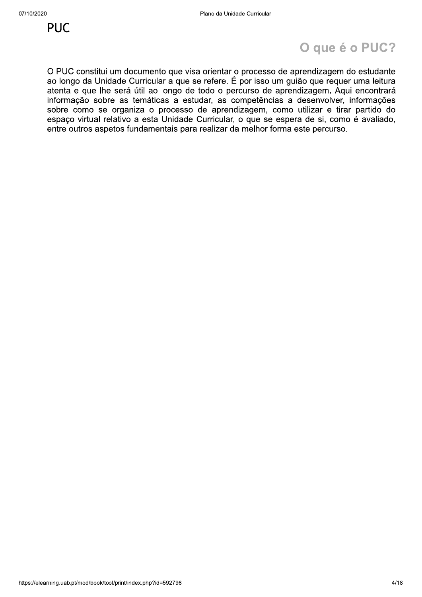### O que é o PUC?

O PUC constitui um documento que visa orientar o processo de aprendizagem do estudante ao longo da Unidade Curricular a que se refere. É por isso um guião que requer uma leitura atenta e que lhe será útil ao longo de todo o percurso de aprendizagem. Aqui encontrará informação sobre as temáticas a estudar, as competências a desenvolver, informações sobre como se organiza o processo de aprendizagem, como utilizar e tirar partido do espaço virtual relativo a esta Unidade Curricular, o que se espera de si, como é avaliado, entre outros aspetos fundamentais para realizar da melhor forma este percurso.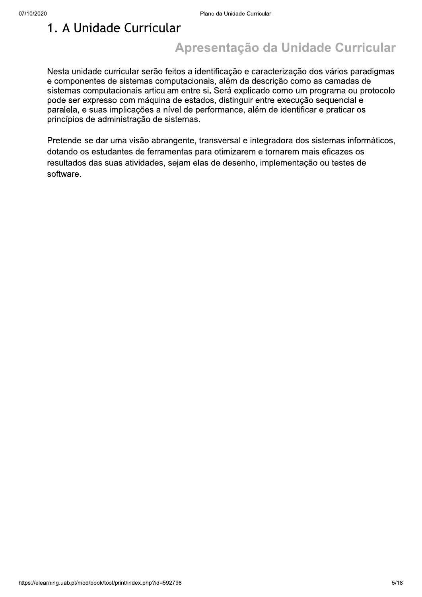### 1. A Unidade Curricular

### Apresentação da Unidade Curricular

Nesta unidade curricular serão feitos a identificação e caracterização dos vários paradigmas e componentes de sistemas computacionais, além da descrição como as camadas de sistemas computacionais articulam entre si. Será explicado como um programa ou protocolo pode ser expresso com máquina de estados, distinguir entre execução sequencial e paralela, e suas implicações a nível de performance, além de identificar e praticar os princípios de administração de sistemas.

Pretende-se dar uma visão abrangente, transversal e integradora dos sistemas informáticos, dotando os estudantes de ferramentas para otimizarem e tornarem mais eficazes os resultados das suas atividades, sejam elas de desenho, implementação ou testes de software.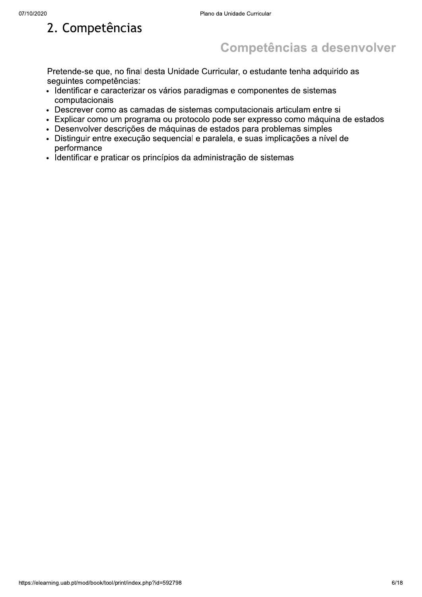### 2. Competências

### **Competências a desenvolver**

Pretende-se que, no final desta Unidade Curricular, o estudante tenha adquirido as seguintes competências:

- · Identificar e caracterizar os vários paradigmas e componentes de sistemas computacionais
- Descrever como as camadas de sistemas computacionais articulam entre si
- · Explicar como um programa ou protocolo pode ser expresso como máquina de estados
- · Desenvolver descrições de máquinas de estados para problemas simples
- · Distinguir entre execução sequencial e paralela, e suas implicações a nível de performance
- · Identificar e praticar os princípios da administração de sistemas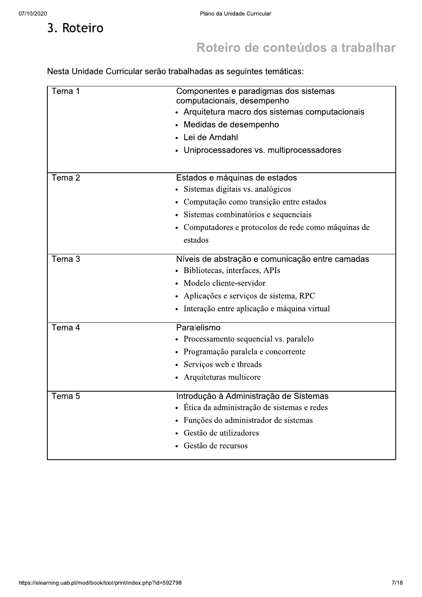3. Roteiro

# Roteiro de conteúdos a trabalhar

Nesta Unidade Curricular serão trabalhadas as seguintes temáticas:

| Tema 1            | Componentes e paradigmas dos sistemas<br>computacionais, desempenho<br>• Arquitetura macro dos sistemas computacionais<br>• Medidas de desempenho<br>Lei de Amdahl<br>Uniprocessadores vs. multiprocessadores<br>$\bullet$    |
|-------------------|-------------------------------------------------------------------------------------------------------------------------------------------------------------------------------------------------------------------------------|
| Tema 2            | Estados e máquinas de estados<br>· Sistemas digitais vs. analógicos<br>• Computação como transição entre estados<br>· Sistemas combinatórios e sequenciais<br>• Computadores e protocolos de rede como máquinas de<br>estados |
| Tema 3            | Níveis de abstração e comunicação entre camadas<br>Bibliotecas, interfaces, APIs<br>Modelo cliente-servidor<br>· Aplicações e serviços de sistema, RPC<br>· Interação entre aplicação e máquina virtual                       |
| Tema 4            | Paralelismo<br>Processamento sequencial vs. paralelo<br>٠<br>Programação paralela e concorrente<br>٠<br>• Serviços web e threads<br>• Arquiteturas multicore                                                                  |
| Tema <sub>5</sub> | Introdução à Administração de Sistemas<br>Ética da administração de sistemas e redes<br>Funções do administrador de sistemas<br>Gestão de utilizadores<br>Gestão de recursos                                                  |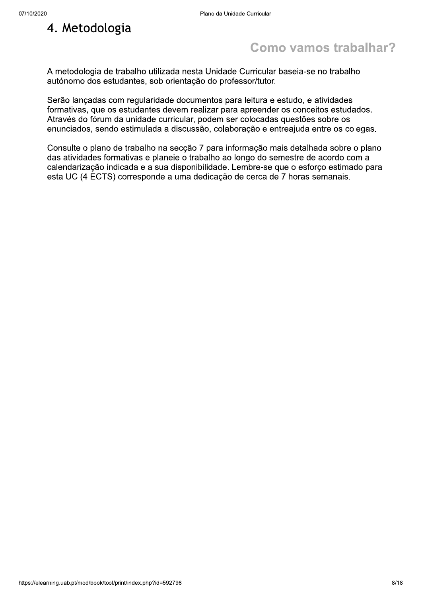### 4. Metodologia

### Como vamos trabalhar?

A metodologia de trabalho utilizada nesta Unidade Curricular baseia-se no trabalho autónomo dos estudantes, sob orientação do professor/tutor.

Serão lançadas com regularidade documentos para leitura e estudo, e atividades formativas, que os estudantes devem realizar para apreender os conceitos estudados. Através do fórum da unidade curricular, podem ser colocadas questões sobre os enunciados, sendo estimulada a discussão, colaboração e entreajuda entre os colegas.

Consulte o plano de trabalho na secção 7 para informação mais detalhada sobre o plano das atividades formativas e planeie o trabalho ao longo do semestre de acordo com a calendarização indicada e a sua disponibilidade. Lembre-se que o esforco estimado para esta UC (4 ECTS) corresponde a uma dedicação de cerca de 7 horas semanais.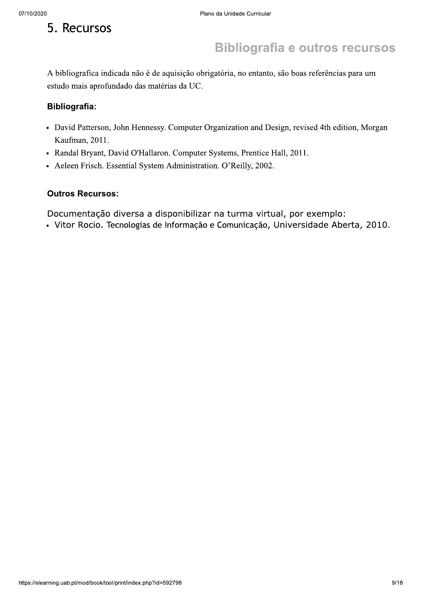### 5. Recursos

### **Bibliografia e outros recursos**

A bibliografica indicada não é de aquisição obrigatória, no entanto, são boas referências para um estudo mais aprofundado das matérias da UC.

#### **Bibliografia:**

- David Patterson, John Hennessy. Computer Organization and Design, revised 4th edition, Morgan Kaufman, 2011.
- Randal Bryant, David O'Hallaron. Computer Systems, Prentice Hall, 2011.
- Aeleen Frisch. Essential System Administration. O'Reilly, 2002.

#### **Outros Recursos:**

Documentação diversa a disponibilizar na turma virtual, por exemplo:

· Vitor Rocio. Tecnologias de Informação e Comunicação, Universidade Aberta, 2010.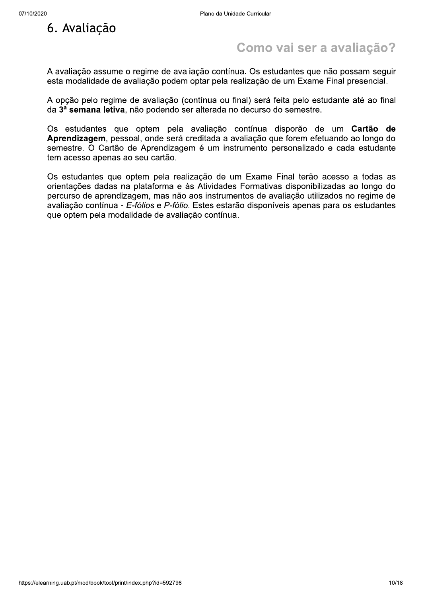

### Como vai ser a avaliação?

A avaliação assume o regime de avaliação contínua. Os estudantes que não possam seguir esta modalidade de avaliação podem optar pela realização de um Exame Final presencial.

A opção pelo regime de avaliação (contínua ou final) será feita pelo estudante até ao final da 3ª semana letiva, não podendo ser alterada no decurso do semestre.

Os estudantes que optem pela avaliação contínua disporão de um Cartão de Aprendizagem, pessoal, onde será creditada a avaliação que forem efetuando ao longo do semestre. O Cartão de Aprendizagem é um instrumento personalizado e cada estudante tem acesso apenas ao seu cartão.

Os estudantes que optem pela realização de um Exame Final terão acesso a todas as orientações dadas na plataforma e às Atividades Formativas disponibilizadas ao longo do percurso de aprendizagem, mas não aos instrumentos de avaliação utilizados no regime de avaliação contínua - E-fólios e P-fólio. Estes estarão disponíveis apenas para os estudantes que optem pela modalidade de avaliação contínua.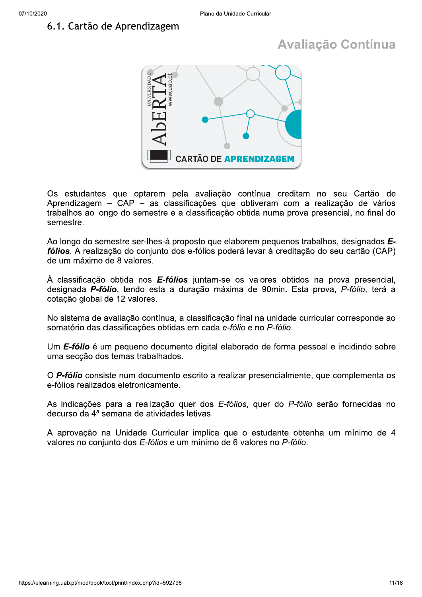### 6.1. Cartão de Aprendizagem

### **Avaliação Contínua**



Os estudantes que optarem pela avaliação contínua creditam no seu Cartão de Aprendizagem – CAP – as classificações que obtiveram com a realização de vários trabalhos ao longo do semestre e a classificação obtida numa prova presencial, no final do semestre.

Ao longo do semestre ser-lhes-á proposto que elaborem pequenos trabalhos, designados Efólios. A realização do conjunto dos e-fólios poderá levar à creditação do seu cartão (CAP) de um máximo de 8 valores.

À classificação obtida nos **E-fólios** juntam-se os valores obtidos na prova presencial, designada P-fólio, tendo esta a duração máxima de 90min. Esta prova, P-fólio, terá a cotação global de 12 valores.

No sistema de avaliação contínua, a classificação final na unidade curricular corresponde ao somatório das classificações obtidas em cada e-fólio e no P-fólio.

Um E-fólio é um pequeno documento digital elaborado de forma pessoal e incidindo sobre uma seccão dos temas trabalhados.

O P-fólio consiste num documento escrito a realizar presencialmente, que complementa os e-fólios realizados eletronicamente.

As indicações para a realização quer dos E-fólios, quer do P-fólio serão fornecidas no decurso da 4ª semana de atividades letivas.

A aprovação na Unidade Curricular implica que o estudante obtenha um mínimo de 4 valores no conjunto dos E-fólios e um mínimo de 6 valores no P-fólio.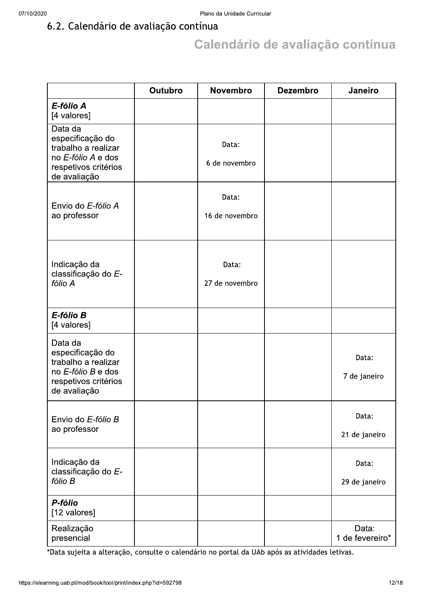### 6.2. Calendário de avaliação contínua

## Calendário de avaliação contínua

|                                                                                                                  | <b>Outubro</b> | <b>Novembro</b>         | <b>Dezembro</b> | Janeiro                  |
|------------------------------------------------------------------------------------------------------------------|----------------|-------------------------|-----------------|--------------------------|
| E-fólio A<br>[4 valores]                                                                                         |                |                         |                 |                          |
| Data da<br>especificação do<br>trabalho a realizar<br>no E-fólio A e dos<br>respetivos critérios<br>de avaliação |                | Data:<br>6 de novembro  |                 |                          |
| Envio do E-fólio A<br>ao professor                                                                               |                | Data:<br>16 de novembro |                 |                          |
| Indicação da<br>classificação do E-<br>fólio A                                                                   |                | Data:<br>27 de novembro |                 |                          |
| E-fólio B<br>[4 valores]                                                                                         |                |                         |                 |                          |
| Data da<br>especificação do<br>trabalho a realizar<br>no E-fólio B e dos<br>respetivos critérios<br>de avaliação |                |                         |                 | Data:<br>7 de janeiro    |
| Envio do E-fólio B<br>ao professor                                                                               |                |                         |                 | Data:<br>21 de janeiro   |
| Indicação da<br>classificação do E-<br>fólio B                                                                   |                |                         |                 | Data:<br>29 de janeiro   |
| P-fólio<br>[12 valores]                                                                                          |                |                         |                 |                          |
| Realização<br>presencial                                                                                         |                |                         |                 | Data:<br>1 de fevereiro* |

\*Data sujeita a alteração, consulte o calendário no portal da UAb após as atividades letivas.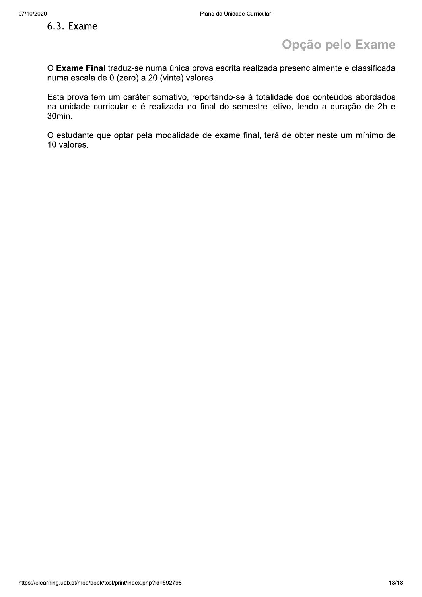### 6.3. Exame

### Opção pelo Exame

O Exame Final traduz-se numa única prova escrita realizada presencialmente e classificada numa escala de 0 (zero) a 20 (vinte) valores.

Esta prova tem um caráter somativo, reportando-se à totalidade dos conteúdos abordados na unidade curricular e é realizada no final do semestre letivo, tendo a duração de 2h e  $30$ min.

O estudante que optar pela modalidade de exame final, terá de obter neste um mínimo de 10 valores.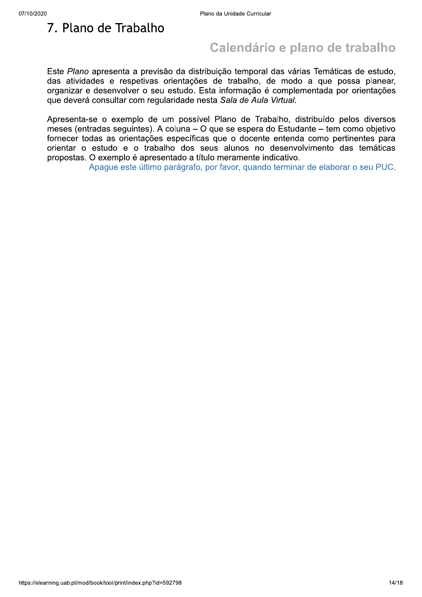### 7. Plano de Trabalho

### Calendário e plano de trabalho

Este Plano apresenta a previsão da distribuição temporal das várias Temáticas de estudo, das atividades e respetivas orientações de trabalho, de modo a que possa planear, organizar e desenvolver o seu estudo. Esta informação é complementada por orientações que deverá consultar com regularidade nesta Sala de Aula Virtual.

Apresenta-se o exemplo de um possível Plano de Trabalho, distribuído pelos diversos meses (entradas sequintes). A coluna – O que se espera do Estudante – tem como obietivo fornecer todas as orientações específicas que o docente entenda como pertinentes para orientar o estudo e o trabalho dos seus alunos no desenvolvimento das temáticas propostas. O exemplo é apresentado a título meramente indicativo.

Apague este último parágrafo, por favor, quando terminar de elaborar o seu PUC.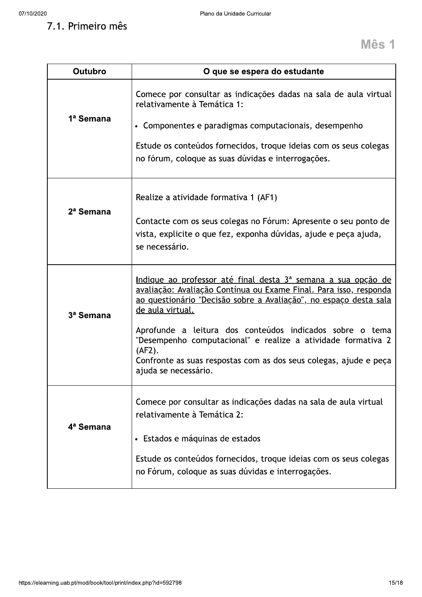7.1. Primeiro mês

| <b>Outubro</b>        | O que se espera do estudante                                                                                                                                                                                                                                                                                                                                                                                                                                          |
|-----------------------|-----------------------------------------------------------------------------------------------------------------------------------------------------------------------------------------------------------------------------------------------------------------------------------------------------------------------------------------------------------------------------------------------------------------------------------------------------------------------|
| 1ª Semana             | Comece por consultar as indicações dadas na sala de aula virtual<br>relativamente à Temática 1:<br>• Componentes e paradigmas computacionais, desempenho<br>Estude os conteúdos fornecidos, troque ideias com os seus colegas<br>no fórum, coloque as suas dúvidas e interrogações.                                                                                                                                                                                   |
| 2 <sup>a</sup> Semana | Realize a atividade formativa 1 (AF1)<br>Contacte com os seus colegas no Fórum: Apresente o seu ponto de<br>vista, explicite o que fez, exponha dúvidas, ajude e peça ajuda,<br>se necessário.                                                                                                                                                                                                                                                                        |
| 3ª Semana             | Indique ao professor até final desta 3ª semana a sua opção de<br><u>avaliação: Avaliação Contínua ou Exame Final. Para isso, responda</u><br>ao questionário "Decisão sobre a Avaliação", no espaço desta sala<br>de aula virtual.<br>Aprofunde a leitura dos conteúdos indicados sobre o tema<br>"Desempenho computacional" e realize a atividade formativa 2<br>(AF2).<br>Confronte as suas respostas com as dos seus colegas, ajude e peça<br>ajuda se necessário. |
| 4 <sup>a</sup> Semana | Comece por consultar as indicações dadas na sala de aula virtual<br>relativamente à Temática 2:<br>Estados e máquinas de estados<br>Estude os conteúdos fornecidos, troque ideias com os seus colegas<br>no Fórum, coloque as suas dúvidas e interrogações.                                                                                                                                                                                                           |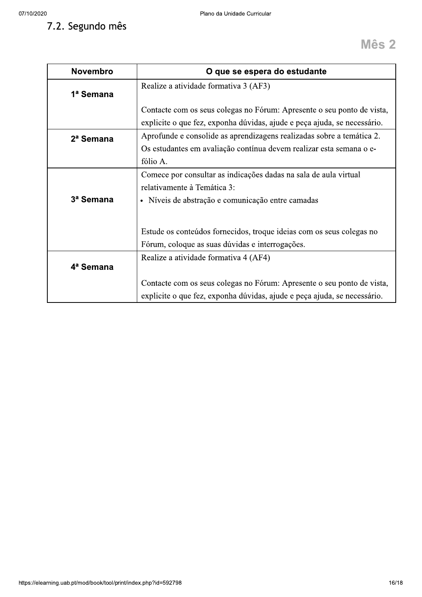| 07/10/2020       | Plano da Unidade Curricular                                                                                                                              |
|------------------|----------------------------------------------------------------------------------------------------------------------------------------------------------|
| 7.2. Segundo mês | <b>Mês 2</b>                                                                                                                                             |
| <b>Novembro</b>  | O que se espera do estudante                                                                                                                             |
| 1ª Semana        | Realize a atividade formativa 3 (AF3)                                                                                                                    |
|                  | Contacte com os seus colegas no Fórum: Apresente o seu ponto de vista,<br>explicite o que fez, exponha dúvidas, ajude e peça ajuda, se necessário.       |
| 2ª Semana        | Aprofunde e consolide as aprendizagens realizadas sobre a temática 2.<br>Os estudantes em avaliação contínua devem realizar esta semana o e-<br>fólio A. |
| 3ª Semana        | Comece por consultar as indicações dadas na sala de aula virtual<br>relativamente à Temática 3:<br>· Níveis de abstração e comunicação entre camadas     |
|                  | Estude os conteúdos fornecidos, troque ideias com os seus colegas no<br>Fórum, coloque as suas dúvidas e interrogações.                                  |
| 4ª Semana        | Realize a atividade formativa 4 (AF4)                                                                                                                    |
|                  | Contacte com os seus colegas no Fórum: Apresente o seu ponto de vista,<br>explicite o que fez, exponha dúvidas, ajude e peça ajuda, se necessário.       |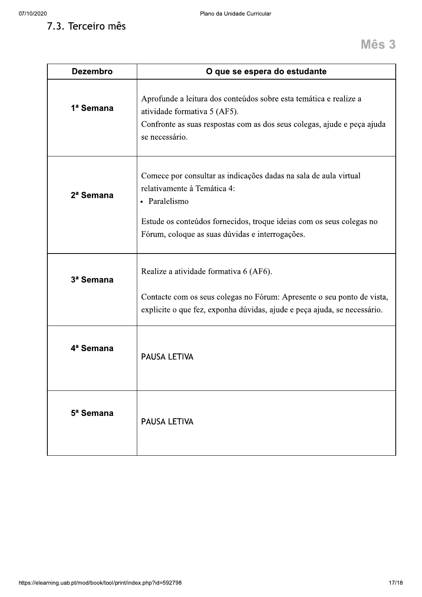7.3. Terceiro mês

| <b>Dezembro</b>       | O que se espera do estudante                                                                                                                                                                                                                |
|-----------------------|---------------------------------------------------------------------------------------------------------------------------------------------------------------------------------------------------------------------------------------------|
| 1ª Semana             | Aprofunde a leitura dos conteúdos sobre esta temática e realize a<br>atividade formativa 5 (AF5).<br>Confronte as suas respostas com as dos seus colegas, ajude e peça ajuda<br>se necessário.                                              |
| 2 <sup>a</sup> Semana | Comece por consultar as indicações dadas na sala de aula virtual<br>relativamente à Temática 4:<br>• Paralelismo<br>Estude os conteúdos fornecidos, troque ideias com os seus colegas no<br>Fórum, coloque as suas dúvidas e interrogações. |
| 3ª Semana             | Realize a atividade formativa 6 (AF6).<br>Contacte com os seus colegas no Fórum: Apresente o seu ponto de vista,<br>explicite o que fez, exponha dúvidas, ajude e peça ajuda, se necessário.                                                |
| 4ª Semana             | <b>PAUSA LETIVA</b>                                                                                                                                                                                                                         |
| 5 <sup>ª</sup> Semana | <b>PAUSA LETIVA</b>                                                                                                                                                                                                                         |